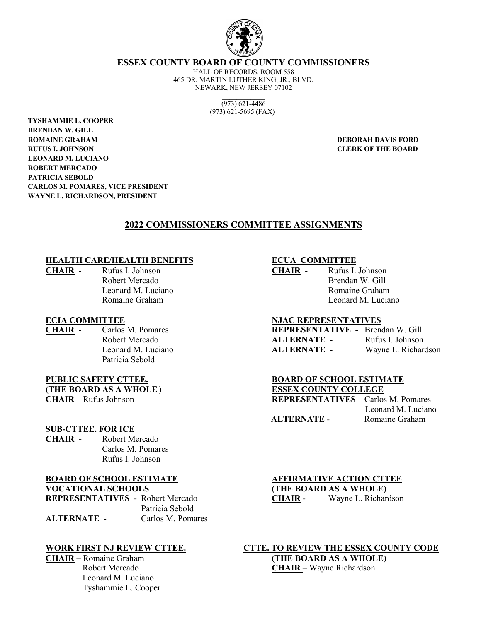

**ESSEX COUNTY BOARD OF COUNTY COMMISSIONERS**

HALL OF RECORDS, ROOM 558 465 DR. MARTIN LUTHER KING, JR., BLVD. NEWARK, NEW JERSEY 07102

> $\mathcal{L}_\text{max}$ (973) 621-4486 (973) 621-5695 (FAX)

 **TYSHAMMIE L. COOPER BRENDAN W. GILL ROMAINE GRAHAM DEBORAH DAVIS FORD RUFUS I. JOHNSON CLERK OF THE BOARD LEONARD M. LUCIANO ROBERT MERCADO PATRICIA SEBOLD CARLOS M. POMARES, VICE PRESIDENT WAYNE L. RICHARDSON, PRESIDENT**

#### **2022 COMMISSIONERS COMMITTEE ASSIGNMENTS**

#### **HEALTH CARE/HEALTH BENEFITS ECUA COMMITTEE**

**CHAIR** - Rufus I. Johnson **CHAIR** - Rufus I. Johnson

Patricia Sebold

# **(THE BOARD AS A WHOLE**) **ESSEX COUNTY COLLEGE**

#### **SUB-CTTEE. FOR ICE**

**CHAIR -** Robert Mercado Carlos M. Pomares Rufus I. Johnson

# **BOARD OF SCHOOL ESTIMATE ALTER AFFIRMATIVE ACTION CTTEE**

**REPRESENTATIVES** - Robert Mercado **CHAIR** - Wayne L. Richardson Patricia Sebold **ALTERNATE** - Carlos M. Pomares

 Leonard M. Luciano Tyshammie L. Cooper

Robert Mercado Brendan W. Gill Leonard M. Luciano **Romaine Graham** Romaine Graham Leonard M. Luciano

#### **ECIA COMMITTEE NJAC REPRESENTATIVES**

**CHAIR** - Carlos M. Pomares **REPRESENTATIVE -** Brendan W. Gill Robert Mercado **ALTERNATE** - Rufus I. Johnson Leonard M. Luciano **ALTERNATE** - Wayne L. Richardson

#### **PUBLIC SAFETY CTTEE. BOARD OF SCHOOL ESTIMATE**

**CHAIR –** Rufus Johnson **REPRESENTATIVES** – Carlos M. Pomares Leonard M. Luciano  **ALTERNATE** - Romaine Graham

**VOCATIONAL SCHOOLS (THE BOARD AS A WHOLE)**

**WORK FIRST NJ REVIEW CTTEE. CTTE. TO REVIEW THE ESSEX COUNTY CODE CHAIR** – Romaine Graham **(THE BOARD AS A WHOLE)** Robert Mercado **CHAIR** – Wayne Richardson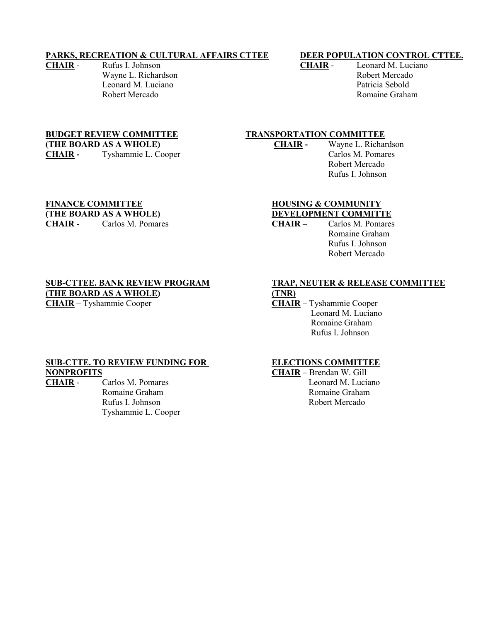#### **PARKS, RECREATION & CULTURAL AFFAIRS CTTEE DEER POPULATION CONTROL CTTEE.**

**CHAIR** - Rufus I. Johnson **CHAIR** - Leonard M. Luciano Wayne L. Richardson **Robert Mercado** Leonard M. Luciano Patricia Sebold

Robert Mercado **Robert Mercado** Romaine Graham

**(THE BOARD AS A WHOLE) CHAIR -** Wayne L. Richardson CHAIR - Tyshammie L. Cooper Carlos M. Pomares

## **BUDGET REVIEW COMMITTEE TRANSPORTATION COMMITTEE**

Robert Mercado Rufus I. Johnson

# **FINANCE COMMITTEE HOUSING & COMMUNITY (THE BOARD AS A WHOLE)**<br> **DEVELOPMENT COMMITTE**<br> **CHAIR -** Carlos M. Pomares<br> **CHAIR -** Carlos M. Pomares

**CHAIR -** Carlos M. Pomares **CHAIR –** Carlos M. Pomares

Romaine Graham Rufus I. Johnson Robert Mercado

**(THE BOARD AS A WHOLE)** (TNR)<br> **CHAIR** – Tyshammie Cooper (THAI

## **SUB-CTTEE. BANK REVIEW PROGRAM TRAP, NEUTER & RELEASE COMMITTEE**

**CHAIR –** Tyshammie Cooper **CHAIR –** Tyshammie Cooper Leonard M. Luciano Romaine Graham Rufus I. Johnson

#### **SUB-CTTE. TO REVIEW FUNDING FOR ELECTIONS COMMITTEE NONPROFITS CHAIR** – Brendan W. Gill

Tyshammie L. Cooper

**CHAIR** - Carlos M. Pomares **Leonard M. Luciano** Romaine Graham Romaine Graham Rufus I. Johnson Robert Mercado